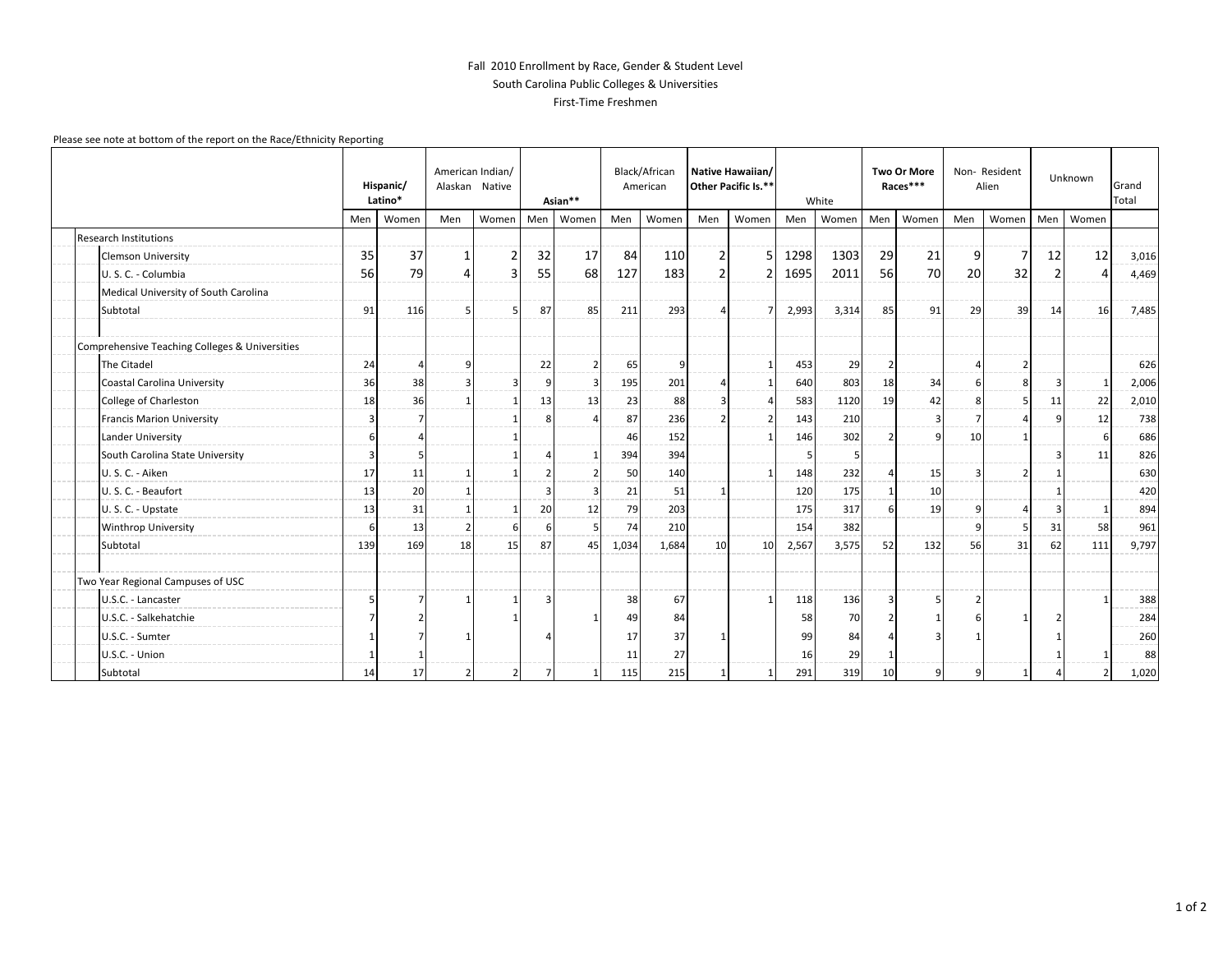## Fall 2010 Enrollment by Race, Gender & Student Level South Carolina Public Colleges & Universities First-Time Freshmen

## Please see note at bottom of the report on the Race/Ethnicity Reporting

|  |                                                | Hispanic/<br>Latino* |       | American Indian/<br>Alaskan Native |       | Asian**        |                         | Black/African<br>American |       | Native Hawaiian/<br>Other Pacific Is.** |       | White |                | <b>Two Or More</b><br>Races*** |       | Non-Resident<br>Alien |                          | Unknown |                          | Grand<br>Total |
|--|------------------------------------------------|----------------------|-------|------------------------------------|-------|----------------|-------------------------|---------------------------|-------|-----------------------------------------|-------|-------|----------------|--------------------------------|-------|-----------------------|--------------------------|---------|--------------------------|----------------|
|  |                                                | Men                  | Women | Men                                | Women | Men            | Women                   | Men                       | Women | Men                                     | Women | Men   | Women          | Men                            | Women | Men                   | Women                    | Men     | Women                    |                |
|  | <b>Research Institutions</b>                   |                      |       |                                    |       |                |                         |                           |       |                                         |       |       |                |                                |       |                       |                          |         |                          |                |
|  | <b>Clemson University</b>                      | 35                   | 37    | 1                                  | 2     | 32             | 17                      | 84                        | 110   | $\overline{2}$                          | 5     | 1298  | 1303           | 29                             | 21    | 9                     | 7                        | 12      | 12                       | 3,016          |
|  | U.S.C. - Columbia                              | 56                   | 79    | 4                                  | 3     | 55             | 68                      | 127                       | 183   |                                         | 2     | 1695  | 2011           | 56                             | 70    | 20                    | 32                       |         | 4                        | 4,469          |
|  | Medical University of South Carolina           |                      |       |                                    |       |                |                         |                           |       |                                         |       |       |                |                                |       |                       |                          |         |                          |                |
|  | Subtotal                                       | 91                   | 116   | 5                                  |       | 87             | 85                      | 211                       | 293   |                                         |       | 2,993 | 3,314          | 85                             | 91    | 29                    | 39                       | 14      | 16                       | 7,485          |
|  | Comprehensive Teaching Colleges & Universities |                      |       |                                    |       |                |                         |                           |       |                                         |       |       |                |                                |       |                       |                          |         |                          |                |
|  | The Citadel                                    | 24                   | Δ     | 9                                  |       | 22             | $\overline{2}$          | 65                        | 9     |                                         |       | 453   | 29             | -2                             |       | 4                     | 2                        |         |                          | 626            |
|  | Coastal Carolina University                    | 36                   | 38    | 3                                  |       | 9              | $\overline{\mathbf{3}}$ | 195                       | 201   |                                         |       | 640   | 803            | 18                             | 34    | 6                     | Я                        | 3       |                          | 2,006          |
|  | College of Charleston                          | 18                   | 36    | $\mathbf 1$                        |       | 13             | 13                      | 23                        | 88    |                                         |       | 583   | 1120           | 19                             | 42    | 8                     | 5                        | 11      | 22                       | 2,010          |
|  | <b>Francis Marion University</b>               | $\overline{3}$       |       |                                    |       | 8              | Δ                       | 87                        | 236   |                                         |       | 143   | 210            |                                |       | $\overline{7}$        |                          |         | 12                       | 738            |
|  | Lander University                              | -6                   |       |                                    |       |                |                         | 46                        | 152   |                                         |       | 146   | 302            |                                |       | 10                    |                          |         | -6                       | 686            |
|  | South Carolina State University                | $\overline{3}$       |       |                                    |       |                | $\overline{1}$          | 394                       | 394   |                                         |       | .5    | $\overline{5}$ |                                |       |                       |                          | 3       | 11                       | 826            |
|  | U.S.C. - Aiken                                 | 17                   | 11    | $\mathbf{1}$                       |       |                | $\overline{2}$          | 50                        | 140   |                                         |       | 148   | 232            |                                | 15    | $\overline{3}$        |                          |         |                          | 630            |
|  | U.S.C. - Beaufort                              | 13                   | 20    | 1                                  |       | з              | 3                       | 21                        | 51    |                                         |       | 120   | 175            |                                | 10    |                       |                          |         |                          | 420            |
|  | U.S.C. - Upstate                               | 13                   | 31    | 1                                  |       | 20             | 12                      | 79                        | 203   |                                         |       | 175   | 317            | 6                              | 19    | 9                     | $\overline{\phantom{a}}$ |         |                          | 894            |
|  | Winthrop University                            | 6                    | 13    | $\overline{2}$                     |       | 6              | -5                      | 74                        | 210   |                                         |       | 154   | 382            |                                |       | 9                     |                          | 31      | 58                       | 961            |
|  | Subtotal                                       | 139                  | 169   | 18                                 | 15    | 87             | 45                      | 1,034                     | 1,684 | 10                                      | 10    | 2,567 | 3,575          | 52                             | 132   | 56                    | 31                       | 62      | 111                      | 9,797          |
|  | Two Year Regional Campuses of USC              |                      |       |                                    |       |                |                         |                           |       |                                         |       |       |                |                                |       |                       |                          |         |                          |                |
|  | U.S.C. - Lancaster                             | -5                   |       |                                    |       | 3              |                         | 38                        | 67    |                                         |       | 118   | 136            | Р                              |       | $\overline{2}$        |                          |         |                          | 388            |
|  | U.S.C. - Salkehatchie                          |                      |       |                                    |       |                | -1                      | 49                        | 84    |                                         |       | 58    | 70             |                                |       | 6                     | $\mathbf{1}$             |         |                          | 284            |
|  | U.S.C. - Sumter                                |                      |       |                                    |       |                |                         | 17                        | 37    |                                         |       | 99    | 84             |                                |       |                       |                          |         |                          | 260            |
|  | U.S.C. - Union                                 |                      |       |                                    |       |                |                         | 11                        | 27    |                                         |       | 16    | 29             |                                |       |                       |                          |         |                          | 88             |
|  | Subtotal                                       | 14                   | 17    |                                    | 2     | $\overline{7}$ |                         | 115                       | 215   |                                         |       | 291   | 319            | 10                             |       | 9                     |                          |         | $\overline{\phantom{0}}$ | 1,020          |